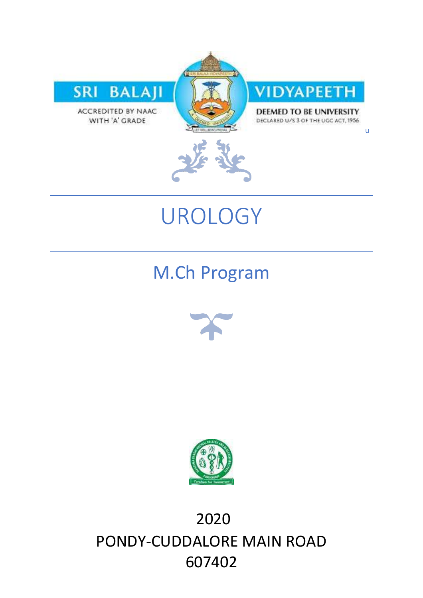

WITH 'A' GRADE

VIDYAPEETH

DEEMED TO BE UNIVERSITY DECLARED U/S 3 OF THE UGC ACT, 1956

u



# UROLOGY

M.Ch Program





2020 PONDY-CUDDALORE MAIN ROAD 607402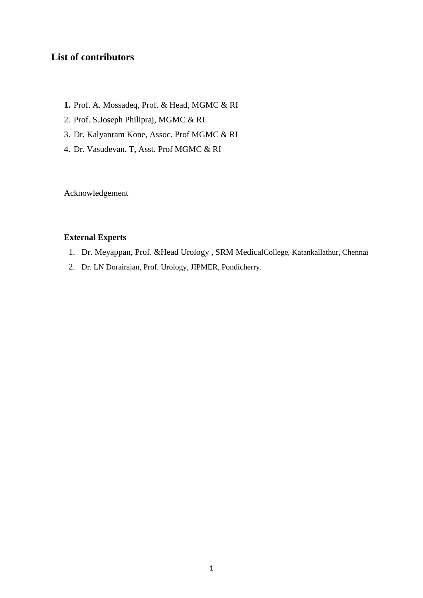## **List of contributors**

- **1.** Prof. A. Mossadeq, Prof. & Head, MGMC & RI
- 2. Prof. S.Joseph Philipraj, MGMC & RI
- 3. Dr. Kalyanram Kone, Assoc. Prof MGMC & RI
- 4. Dr. Vasudevan. T, Asst. Prof MGMC & RI

Acknowledgement

#### **External Experts**

- 1. Dr. Meyappan, Prof. &Head Urology , SRM MedicalCollege, Katankallathur, Chennai
- 2. Dr. LN Dorairajan, Prof. Urology, JIPMER, Pondicherry.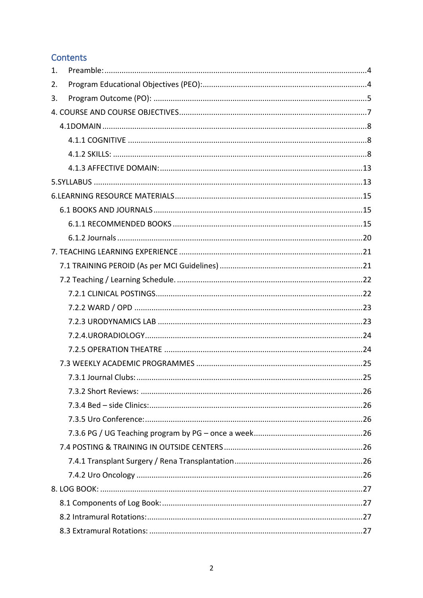# Contents

| 1. |  |
|----|--|
| 2. |  |
| 3. |  |
|    |  |
|    |  |
|    |  |
|    |  |
|    |  |
|    |  |
|    |  |
|    |  |
|    |  |
|    |  |
|    |  |
|    |  |
|    |  |
|    |  |
|    |  |
|    |  |
|    |  |
|    |  |
|    |  |
|    |  |
|    |  |
|    |  |
|    |  |
|    |  |
|    |  |
|    |  |
|    |  |
|    |  |
|    |  |
|    |  |
|    |  |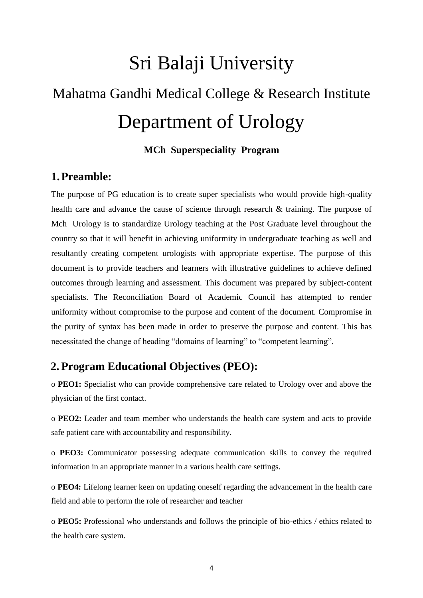# Sri Balaji University

# Mahatma Gandhi Medical College & Research Institute Department of Urology

#### **MCh Superspeciality Program**

## <span id="page-4-0"></span>**1.Preamble:**

The purpose of PG education is to create super specialists who would provide high-quality health care and advance the cause of science through research & training. The purpose of Mch Urology is to standardize Urology teaching at the Post Graduate level throughout the country so that it will benefit in achieving uniformity in undergraduate teaching as well and resultantly creating competent urologists with appropriate expertise. The purpose of this document is to provide teachers and learners with illustrative guidelines to achieve defined outcomes through learning and assessment. This document was prepared by subject-content specialists. The Reconciliation Board of Academic Council has attempted to render uniformity without compromise to the purpose and content of the document. Compromise in the purity of syntax has been made in order to preserve the purpose and content. This has necessitated the change of heading "domains of learning" to "competent learning".

# <span id="page-4-1"></span>**2. Program Educational Objectives (PEO):**

o **PEO1:** Specialist who can provide comprehensive care related to Urology over and above the physician of the first contact.

o **PEO2:** Leader and team member who understands the health care system and acts to provide safe patient care with accountability and responsibility.

o **PEO3:** Communicator possessing adequate communication skills to convey the required information in an appropriate manner in a various health care settings.

o **PEO4:** Lifelong learner keen on updating oneself regarding the advancement in the health care field and able to perform the role of researcher and teacher

o **PEO5:** Professional who understands and follows the principle of bio-ethics / ethics related to the health care system.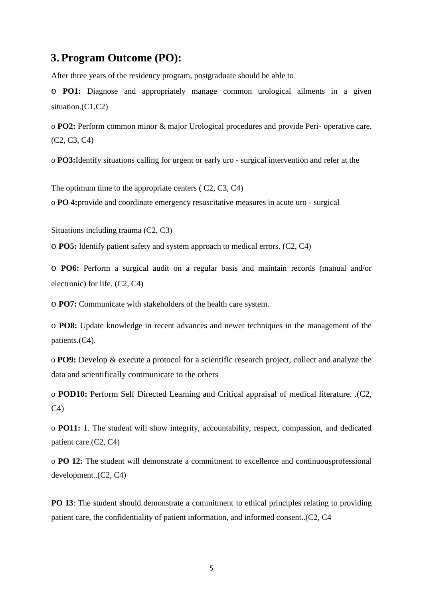# <span id="page-5-0"></span>**3. Program Outcome (PO):**

After three years of the residency program, postgraduate should be able to

o **PO1:** Diagnose and appropriately manage common urological ailments in a given situation.(C1,C2)

o **PO2:** Perform common minor & major Urological procedures and provide Peri- operative care. (C2, C3, C4)

o **PO3:**Identify situations calling for urgent or early uro - surgical intervention and refer at the

The optimum time to the appropriate centers ( C2, C3, C4)

o **PO 4:**provide and coordinate emergency resuscitative measures in acute uro - surgical

Situations including trauma (C2, C3)

o **PO5:** Identify patient safety and system approach to medical errors. (C2, C4)

o **PO6:** Perform a surgical audit on a regular basis and maintain records (manual and/or electronic) for life. (C2, C4)

o **PO7:** Communicate with stakeholders of the health care system.

o **PO8:** Update knowledge in recent advances and newer techniques in the management of the patients.(C4).

o **PO9:** Develop & execute a protocol for a scientific research project, collect and analyze the data and scientifically communicate to the others

o **POD10:** Perform Self Directed Learning and Critical appraisal of medical literature. .(C2,  $C<sub>4</sub>$ 

o **PO11:** 1. The student will show integrity, accountability, respect, compassion, and dedicated patient care.(C2, C4)

o **PO 12:** The student will demonstrate a commitment to excellence and continuousprofessional development..(C2, C4)

**PO 13**: The student should demonstrate a commitment to ethical principles relating to providing patient care, the confidentiality of patient information, and informed consent..(C2, C4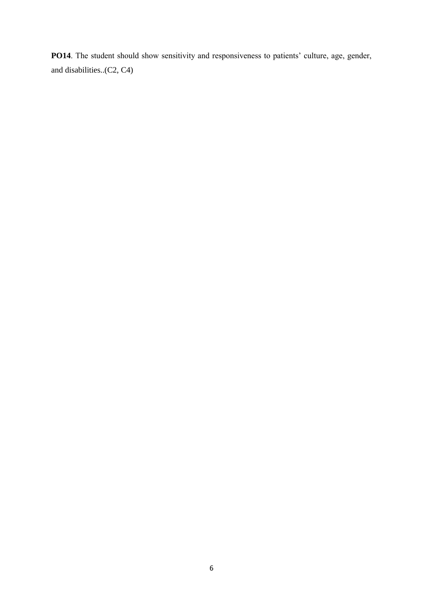PO14. The student should show sensitivity and responsiveness to patients' culture, age, gender, and disabilities..(C2, C4)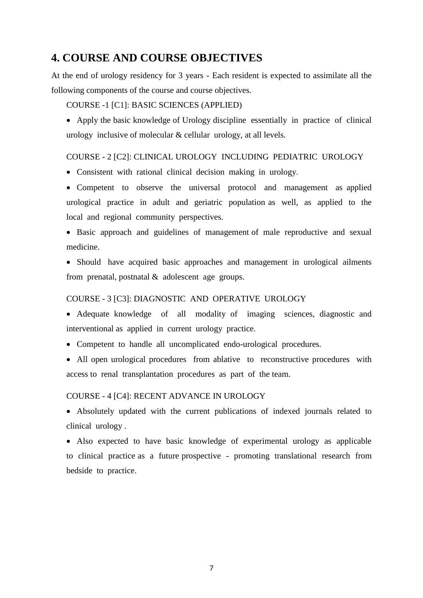# <span id="page-7-0"></span>**4. COURSE AND COURSE OBJECTIVES**

At the end of urology residency for 3 years - Each resident is expected to assimilate all the following components of the course and course objectives*.*

#### COURSE -1 [C1]: BASIC SCIENCES (APPLIED)

 Apply the basic knowledge of Urology discipline essentially in practice of clinical urology inclusive of molecular & cellular urology, at all levels.

#### COURSE - 2 [C2]: CLINICAL UROLOGY INCLUDING PEDIATRIC UROLOGY

- Consistent with rational clinical decision making in urology.
- Competent to observe the universal protocol and management as applied urological practice in adult and geriatric population as well, as applied to the local and regional community perspectives.
- Basic approach and guidelines of management of male reproductive and sexual medicine.
- Should have acquired basic approaches and management in urological ailments from prenatal, postnatal & adolescent age groups.

#### COURSE - 3 [C3]: DIAGNOSTIC AND OPERATIVE UROLOGY

- Adequate knowledge of all modality of imaging sciences, diagnostic and interventional as applied in current urology practice.
- Competent to handle all uncomplicated endo-urological procedures.
- All open urological procedures from ablative to reconstructive procedures with access to renal transplantation procedures as part of the team.

#### COURSE - 4 [C4]: RECENT ADVANCE IN UROLOGY

 Absolutely updated with the current publications of indexed journals related to clinical urology .

 Also expected to have basic knowledge of experimental urology as applicable to clinical practice as a future prospective - promoting translational research from bedside to practice.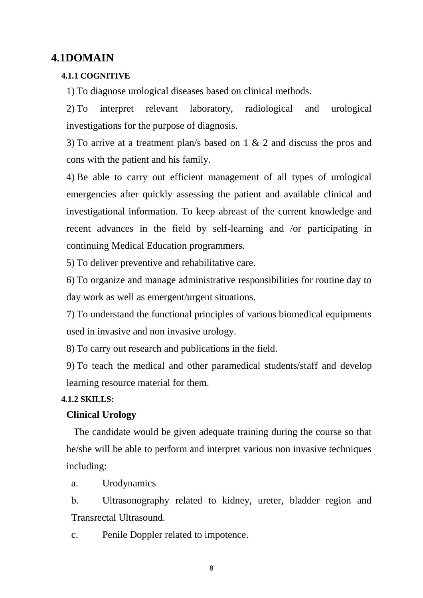# <span id="page-8-0"></span>**4.1DOMAIN**

#### <span id="page-8-1"></span>**4.1.1 COGNITIVE**

1) To diagnose urological diseases based on clinical methods.

2) To interpret relevant laboratory, radiological and urological investigations for the purpose of diagnosis.

3) To arrive at a treatment plan/s based on 1 & 2 and discuss the pros and cons with the patient and his family.

4) Be able to carry out efficient management of all types of urological emergencies after quickly assessing the patient and available clinical and investigational information. To keep abreast of the current knowledge and recent advances in the field by self-learning and /or participating in continuing Medical Education programmers.

5) To deliver preventive and rehabilitative care.

6) To organize and manage administrative responsibilities for routine day to day work as well as emergent/urgent situations.

7) To understand the functional principles of various biomedical equipments used in invasive and non invasive urology.

8) To carry out research and publications in the field.

9) To teach the medical and other paramedical students/staff and develop learning resource material for them.

#### <span id="page-8-2"></span>**4.1.2 SKILLS:**

#### **Clinical Urology**

The candidate would be given adequate training during the course so that he/she will be able to perform and interpret various non invasive techniques including:

a. Urodynamics

b. Ultrasonography related to kidney, ureter, bladder region and Transrectal Ultrasound.

c. Penile Doppler related to impotence.

8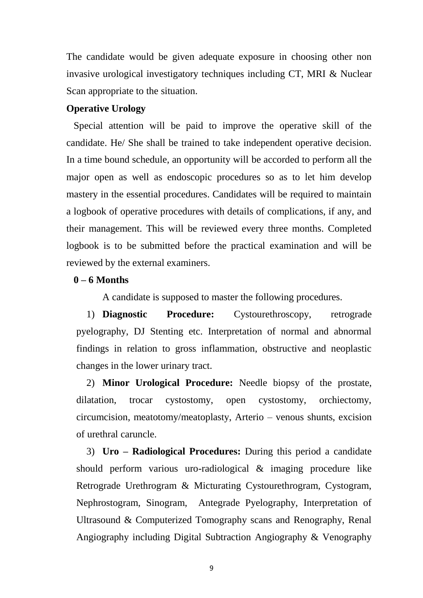The candidate would be given adequate exposure in choosing other non invasive urological investigatory techniques including CT, MRI & Nuclear Scan appropriate to the situation.

#### **Operative Urology**

Special attention will be paid to improve the operative skill of the candidate. He/ She shall be trained to take independent operative decision. In a time bound schedule, an opportunity will be accorded to perform all the major open as well as endoscopic procedures so as to let him develop mastery in the essential procedures. Candidates will be required to maintain a logbook of operative procedures with details of complications, if any, and their management. This will be reviewed every three months. Completed logbook is to be submitted before the practical examination and will be reviewed by the external examiners.

#### **0 – 6 Months**

A candidate is supposed to master the following procedures.

1) **Diagnostic Procedure:** Cystourethroscopy, retrograde pyelography, DJ Stenting etc. Interpretation of normal and abnormal findings in relation to gross inflammation, obstructive and neoplastic changes in the lower urinary tract.

2) **Minor Urological Procedure:** Needle biopsy of the prostate, dilatation, trocar cystostomy, open cystostomy, orchiectomy, circumcision, meatotomy/meatoplasty, Arterio – venous shunts, excision of urethral caruncle.

3) **Uro – Radiological Procedures:** During this period a candidate should perform various uro-radiological & imaging procedure like Retrograde Urethrogram & Micturating Cystourethrogram, Cystogram, Nephrostogram, Sinogram, Antegrade Pyelography, Interpretation of Ultrasound & Computerized Tomography scans and Renography, Renal Angiography including Digital Subtraction Angiography & Venography

9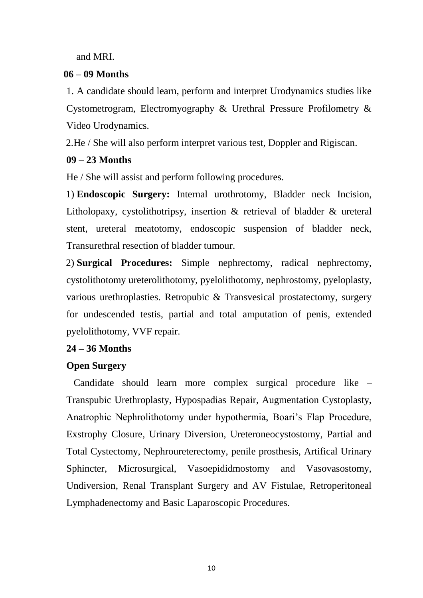and MRI.

# **06 – 09 Months**

1. A candidate should learn, perform and interpret Urodynamics studies like Cystometrogram, Electromyography & Urethral Pressure Profilometry & Video Urodynamics.

2.He / She will also perform interpret various test, Doppler and Rigiscan.

# **09 – 23 Months**

He / She will assist and perform following procedures.

1) **Endoscopic Surgery:** Internal urothrotomy, Bladder neck Incision, Litholopaxy, cystolithotripsy, insertion & retrieval of bladder & ureteral stent, ureteral meatotomy, endoscopic suspension of bladder neck, Transurethral resection of bladder tumour.

2) **Surgical Procedures:** Simple nephrectomy, radical nephrectomy, cystolithotomy ureterolithotomy, pyelolithotomy, nephrostomy, pyeloplasty, various urethroplasties. Retropubic & Transvesical prostatectomy, surgery for undescended testis, partial and total amputation of penis, extended pyelolithotomy, VVF repair.

# **24 – 36 Months**

# **Open Surgery**

Candidate should learn more complex surgical procedure like – Transpubic Urethroplasty, Hypospadias Repair, Augmentation Cystoplasty, Anatrophic Nephrolithotomy under hypothermia, Boari's Flap Procedure, Exstrophy Closure, Urinary Diversion, Ureteroneocystostomy, Partial and Total Cystectomy, Nephroureterectomy, penile prosthesis, Artifical Urinary Sphincter, Microsurgical, Vasoepididmostomy and Vasovasostomy, Undiversion, Renal Transplant Surgery and AV Fistulae, Retroperitoneal Lymphadenectomy and Basic Laparoscopic Procedures.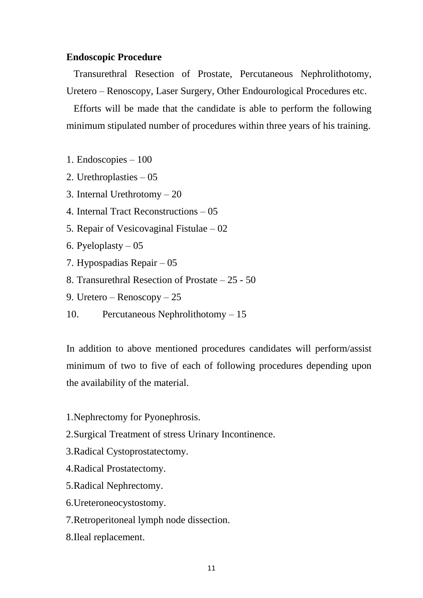#### **Endoscopic Procedure**

Transurethral Resection of Prostate, Percutaneous Nephrolithotomy, Uretero – Renoscopy, Laser Surgery, Other Endourological Procedures etc.

Efforts will be made that the candidate is able to perform the following minimum stipulated number of procedures within three years of his training.

1. Endoscopies – 100

- 2. Urethroplasties 05
- 3. Internal Urethrotomy 20
- 4. Internal Tract Reconstructions 05
- 5. Repair of Vesicovaginal Fistulae 02
- 6. Pyeloplasty  $-05$
- 7. Hypospadias Repair 05
- 8. Transurethral Resection of Prostate 25 50
- 9. Uretero Renoscopy 25
- 10. Percutaneous Nephrolithotomy 15

In addition to above mentioned procedures candidates will perform/assist minimum of two to five of each of following procedures depending upon the availability of the material.

- 1.Nephrectomy for Pyonephrosis.
- 2.Surgical Treatment of stress Urinary Incontinence.
- 3.Radical Cystoprostatectomy.
- 4.Radical Prostatectomy.
- 5.Radical Nephrectomy.
- 6.Ureteroneocystostomy.
- 7.Retroperitoneal lymph node dissection.
- 8.Ileal replacement.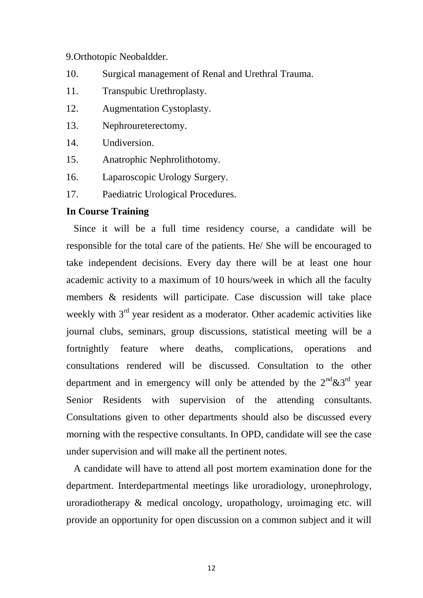#### 9.Orthotopic Neobaldder.

- 10. Surgical management of Renal and Urethral Trauma.
- 11. Transpubic Urethroplasty.
- 12. Augmentation Cystoplasty.
- 13. Nephroureterectomy.
- 14. Undiversion.
- 15. Anatrophic Nephrolithotomy.
- 16. Laparoscopic Urology Surgery.
- 17. Paediatric Urological Procedures.

#### **In Course Training**

Since it will be a full time residency course, a candidate will be responsible for the total care of the patients. He/ She will be encouraged to take independent decisions. Every day there will be at least one hour academic activity to a maximum of 10 hours/week in which all the faculty members & residents will participate. Case discussion will take place weekly with 3<sup>rd</sup> year resident as a moderator. Other academic activities like journal clubs, seminars, group discussions, statistical meeting will be a fortnightly feature where deaths, complications, operations and consultations rendered will be discussed. Consultation to the other department and in emergency will only be attended by the  $2<sup>nd</sup> \& 3<sup>rd</sup>$  year Senior Residents with supervision of the attending consultants. Consultations given to other departments should also be discussed every morning with the respective consultants. In OPD, candidate will see the case under supervision and will make all the pertinent notes.

A candidate will have to attend all post mortem examination done for the department. Interdepartmental meetings like uroradiology, uronephrology, uroradiotherapy & medical oncology, uropathology, uroimaging etc. will provide an opportunity for open discussion on a common subject and it will

12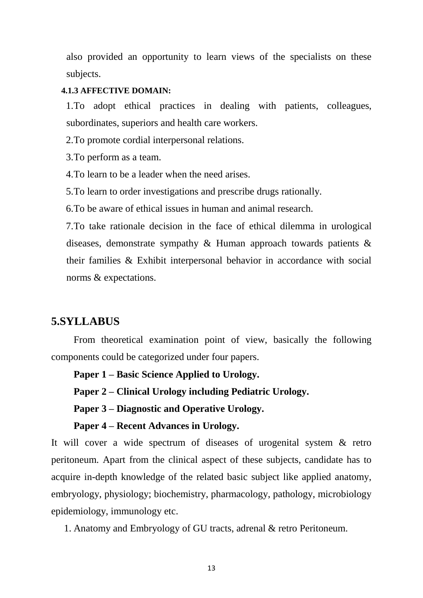also provided an opportunity to learn views of the specialists on these subjects.

#### <span id="page-13-0"></span>**4.1.3 AFFECTIVE DOMAIN:**

1.To adopt ethical practices in dealing with patients, colleagues, subordinates, superiors and health care workers.

2.To promote cordial interpersonal relations.

3.To perform as a team.

4.To learn to be a leader when the need arises.

5.To learn to order investigations and prescribe drugs rationally.

6.To be aware of ethical issues in human and animal research.

7.To take rationale decision in the face of ethical dilemma in urological diseases, demonstrate sympathy & Human approach towards patients & their families & Exhibit interpersonal behavior in accordance with social norms & expectations.

# <span id="page-13-1"></span>**5.SYLLABUS**

From theoretical examination point of view, basically the following components could be categorized under four papers.

**Paper 1 – Basic Science Applied to Urology.**

**Paper 2 – Clinical Urology including Pediatric Urology.**

**Paper 3 – Diagnostic and Operative Urology.**

#### **Paper 4 – Recent Advances in Urology.**

It will cover a wide spectrum of diseases of urogenital system & retro peritoneum. Apart from the clinical aspect of these subjects, candidate has to acquire in-depth knowledge of the related basic subject like applied anatomy, embryology, physiology; biochemistry, pharmacology, pathology, microbiology epidemiology, immunology etc.

1. Anatomy and Embryology of GU tracts, adrenal & retro Peritoneum.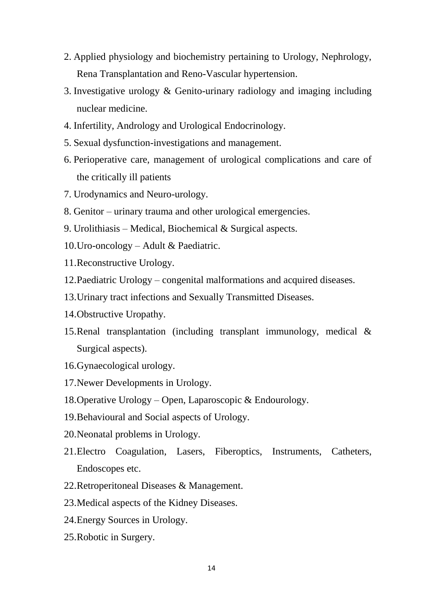- 2. Applied physiology and biochemistry pertaining to Urology, Nephrology, Rena Transplantation and Reno-Vascular hypertension.
- 3. Investigative urology & Genito-urinary radiology and imaging including nuclear medicine.
- 4. Infertility, Andrology and Urological Endocrinology.
- 5. Sexual dysfunction-investigations and management.
- 6. Perioperative care, management of urological complications and care of the critically ill patients
- 7. Urodynamics and Neuro-urology.
- 8. Genitor urinary trauma and other urological emergencies.
- 9. Urolithiasis Medical, Biochemical & Surgical aspects.
- 10.Uro-oncology Adult & Paediatric.
- 11.Reconstructive Urology.
- 12.Paediatric Urology congenital malformations and acquired diseases.
- 13.Urinary tract infections and Sexually Transmitted Diseases.
- 14.Obstructive Uropathy.
- 15.Renal transplantation (including transplant immunology, medical & Surgical aspects).
- 16.Gynaecological urology.
- 17.Newer Developments in Urology.
- 18.Operative Urology Open, Laparoscopic & Endourology.
- 19.Behavioural and Social aspects of Urology.
- 20.Neonatal problems in Urology.
- 21.Electro Coagulation, Lasers, Fiberoptics, Instruments, Catheters, Endoscopes etc.
- 22.Retroperitoneal Diseases & Management.
- 23.Medical aspects of the Kidney Diseases.
- 24.Energy Sources in Urology.
- 25.Robotic in Surgery.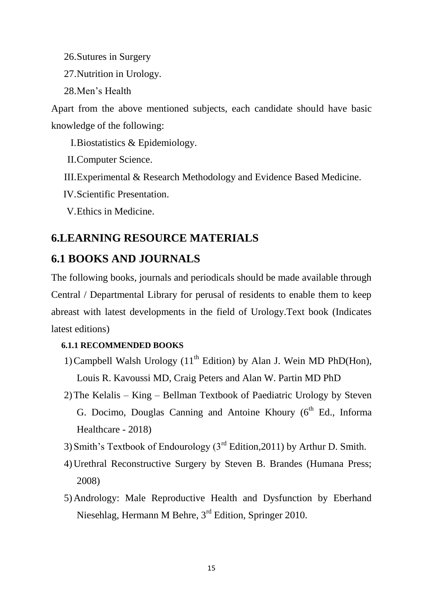26.Sutures in Surgery

27.Nutrition in Urology.

28.Men"s Health

Apart from the above mentioned subjects, each candidate should have basic knowledge of the following:

I.Biostatistics & Epidemiology.

II.Computer Science.

III.Experimental & Research Methodology and Evidence Based Medicine.

IV.Scientific Presentation.

V.Ethics in Medicine.

# <span id="page-15-0"></span>**6.LEARNING RESOURCE MATERIALS**

# <span id="page-15-1"></span>**6.1 BOOKS AND JOURNALS**

The following books, journals and periodicals should be made available through Central / Departmental Library for perusal of residents to enable them to keep abreast with latest developments in the field of Urology.Text book (Indicates latest editions)

### <span id="page-15-2"></span>**6.1.1 RECOMMENDED BOOKS**

- 1) Campbell Walsh Urology  $(11<sup>th</sup> Edition)$  by Alan J. Wein MD PhD(Hon), Louis R. Kavoussi MD, Craig Peters and Alan W. Partin MD PhD
- 2)The Kelalis King Bellman Textbook of Paediatric Urology by Steven G. Docimo, Douglas Canning and Antoine Khoury (6<sup>th</sup> Ed., Informa Healthcare - 2018)
- 3) Smith's Textbook of Endourology  $3^{rd}$  Edition, 2011) by Arthur D. Smith.
- 4)Urethral Reconstructive Surgery by Steven B. Brandes (Humana Press; 2008)
- 5)Andrology: Male Reproductive Health and Dysfunction by Eberhand Niesehlag, Hermann M Behre, 3<sup>rd</sup> Edition, Springer 2010.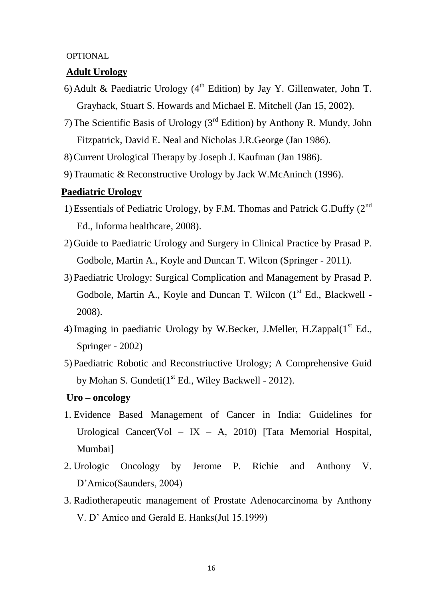#### **OPTIONAL**

#### **Adult Urology**

- 6) Adult & Paediatric Urology ( $4<sup>th</sup>$  Edition) by Jay Y. Gillenwater, John T. Grayhack, Stuart S. Howards and Michael E. Mitchell (Jan 15, 2002).
- 7) The Scientific Basis of Urology ( $3<sup>rd</sup>$  Edition) by Anthony R. Mundy, John Fitzpatrick, David E. Neal and Nicholas J.R.George (Jan 1986).
- 8)Current Urological Therapy by Joseph J. Kaufman (Jan 1986).
- 9)Traumatic & Reconstructive Urology by Jack W.McAninch (1996).

#### **Paediatric Urology**

- 1) Essentials of Pediatric Urology, by F.M. Thomas and Patrick G.Duffy  $(2^{nd}$ Ed., Informa healthcare, 2008).
- 2)Guide to Paediatric Urology and Surgery in Clinical Practice by Prasad P. Godbole, Martin A., Koyle and Duncan T. Wilcon (Springer - 2011).
- 3)Paediatric Urology: Surgical Complication and Management by Prasad P. Godbole, Martin A., Koyle and Duncan T. Wilcon  $(1<sup>st</sup> Ed., Blackwell -$ 2008).
- 4) Imaging in paediatric Urology by W.Becker, J.Meller, H.Zappal $(1<sup>st</sup> Ed.,$ Springer - 2002)
- 5)Paediatric Robotic and Reconstriuctive Urology; A Comprehensive Guid by Mohan S. Gundeti $(1<sup>st</sup> Ed., Wiley Backwell - 2012).$

#### **Uro – oncology**

- 1. Evidence Based Management of Cancer in India: Guidelines for Urological Cancer(Vol – IX – A, 2010) [Tata Memorial Hospital, Mumbai]
- 2. Urologic Oncology by Jerome P. Richie and Anthony V. D"Amico(Saunders, 2004)
- 3. Radiotherapeutic management of Prostate Adenocarcinoma by Anthony V. D" Amico and Gerald E. Hanks(Jul 15.1999)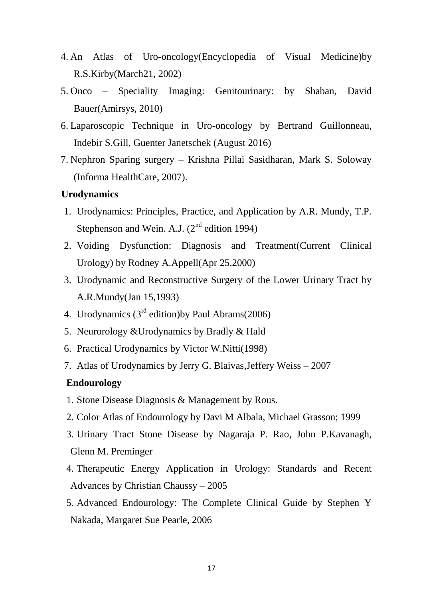- 4. An Atlas of Uro-oncology(Encyclopedia of Visual Medicine)by R.S.Kirby(March21, 2002)
- 5. Onco Speciality Imaging: Genitourinary: by Shaban, David Bauer(Amirsys, 2010)
- 6. Laparoscopic Technique in Uro-oncology by Bertrand Guillonneau, Indebir S.Gill, Guenter Janetschek (August 2016)
- 7. Nephron Sparing surgery Krishna Pillai Sasidharan, Mark S. Soloway (Informa HealthCare, 2007).

#### **Urodynamics**

- 1. Urodynamics: Principles, Practice, and Application by A.R. Mundy, T.P. Stephenson and Wein. A.J.  $(2^{nd}$  edition 1994)
- 2. Voiding Dysfunction: Diagnosis and Treatment(Current Clinical Urology) by Rodney A.Appell(Apr 25,2000)
- 3. Urodynamic and Reconstructive Surgery of the Lower Urinary Tract by A.R.Mundy(Jan 15,1993)
- 4. Urodynamics  $(3<sup>rd</sup> edition)$ by Paul Abrams $(2006)$
- 5. Neurorology &Urodynamics by Bradly & Hald
- 6. Practical Urodynamics by Victor W.Nitti(1998)
- 7. Atlas of Urodynamics by Jerry G. Blaivas,Jeffery Weiss 2007

#### **Endourology**

- 1. Stone Disease Diagnosis & Management by Rous.
- 2. Color Atlas of Endourology by Davi M Albala, Michael Grasson; 1999
- 3. Urinary Tract Stone Disease by Nagaraja P. Rao, John P.Kavanagh, Glenn M. Preminger
- 4. Therapeutic Energy Application in Urology: Standards and Recent Advances by Christian Chaussy – 2005
- 5. Advanced Endourology: The Complete Clinical Guide by Stephen Y Nakada, Margaret Sue Pearle, 2006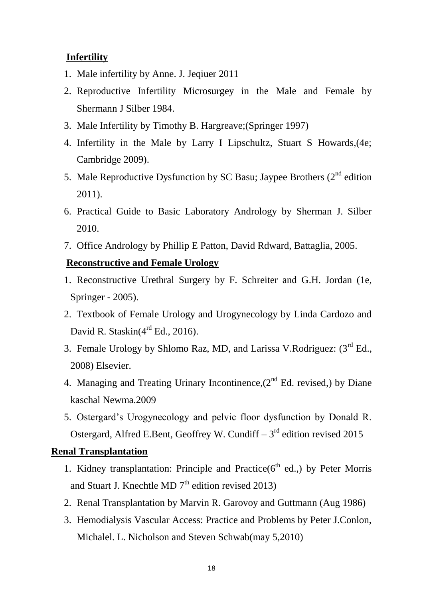# **Infertility**

- 1. Male infertility by Anne. J. Jeqiuer 2011
- 2. Reproductive Infertility Microsurgey in the Male and Female by Shermann J Silber 1984.
- 3. Male Infertility by Timothy B. Hargreave;(Springer 1997)
- 4. Infertility in the Male by Larry I Lipschultz, Stuart S Howards,(4e; Cambridge 2009).
- 5. Male Reproductive Dysfunction by SC Basu; Jaypee Brothers  $(2<sup>nd</sup>$  edition 2011).
- 6. Practical Guide to Basic Laboratory Andrology by Sherman J. Silber 2010.
- 7. Office Andrology by Phillip E Patton, David Rdward, Battaglia, 2005.

## **Reconstructive and Female Urology**

- 1. Reconstructive Urethral Surgery by F. Schreiter and G.H. Jordan (1e, Springer - 2005).
- 2. Textbook of Female Urology and Urogynecology by Linda Cardozo and David R. Staskin $(4<sup>rd</sup>$  Ed., 2016).
- 3. Female Urology by Shlomo Raz, MD, and Larissa V.Rodriguez: (3<sup>rd</sup> Ed., 2008) Elsevier.
- 4. Managing and Treating Urinary Incontinence,  $(2<sup>nd</sup> Ed.$  revised,) by Diane kaschal Newma.2009
- 5. Ostergard"s Urogynecology and pelvic floor dysfunction by Donald R. Ostergard, Alfred E.Bent, Geoffrey W. Cundiff  $-3<sup>rd</sup>$  edition revised 2015

### **Renal Transplantation**

- 1. Kidney transplantation: Principle and Practice( $6<sup>th</sup>$  ed.,) by Peter Morris and Stuart J. Knechtle MD  $7<sup>th</sup>$  edition revised 2013)
- 2. Renal Transplantation by Marvin R. Garovoy and Guttmann (Aug 1986)
- 3. Hemodialysis Vascular Access: Practice and Problems by Peter J.Conlon, Michalel. L. Nicholson and Steven Schwab(may 5,2010)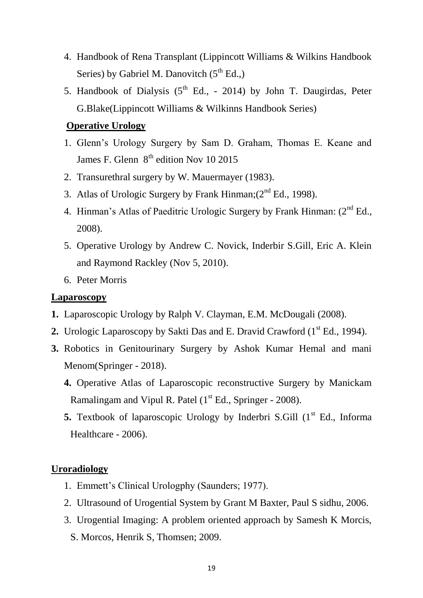- 4. Handbook of Rena Transplant (Lippincott Williams & Wilkins Handbook Series) by Gabriel M. Danovitch  $(5<sup>th</sup> Ed.)$
- 5. Handbook of Dialysis  $(5^{th}$  Ed., 2014) by John T. Daugirdas, Peter G.Blake(Lippincott Williams & Wilkinns Handbook Series)

## **Operative Urology**

- 1. Glenn"s Urology Surgery by Sam D. Graham, Thomas E. Keane and James F. Glenn  $8<sup>th</sup>$  edition Nov 10 2015
- 2. Transurethral surgery by W. Mauermayer (1983).
- 3. Atlas of Urologic Surgery by Frank Hinman;  $(2^{nd} Ed., 1998)$ .
- 4. Hinman's Atlas of Paeditric Urologic Surgery by Frank Hinman:  $(2^{nd} Ed.,$ 2008).
- 5. Operative Urology by Andrew C. Novick, Inderbir S.Gill, Eric A. Klein and Raymond Rackley (Nov 5, 2010).
- 6. Peter Morris

#### **Laparoscopy**

- **1.** Laparoscopic Urology by Ralph V. Clayman, E.M. McDougali (2008).
- **2.** Urologic Laparoscopy by Sakti Das and E. Dravid Crawford (1<sup>st</sup> Ed., 1994).
- **3.** Robotics in Genitourinary Surgery by Ashok Kumar Hemal and mani Menom(Springer - 2018).
	- **4.** Operative Atlas of Laparoscopic reconstructive Surgery by Manickam Ramalingam and Vipul R. Patel  $(1<sup>st</sup> Ed., Springer - 2008)$ .
	- **5.** Textbook of laparoscopic Urology by Inderbri S.Gill (1<sup>st</sup> Ed., Informa Healthcare - 2006).

## **Uroradiology**

- 1. Emmett"s Clinical Urologphy (Saunders; 1977).
- 2. Ultrasound of Urogential System by Grant M Baxter, Paul S sidhu, 2006.
- 3. Urogential Imaging: A problem oriented approach by Samesh K Morcis, S. Morcos, Henrik S, Thomsen; 2009.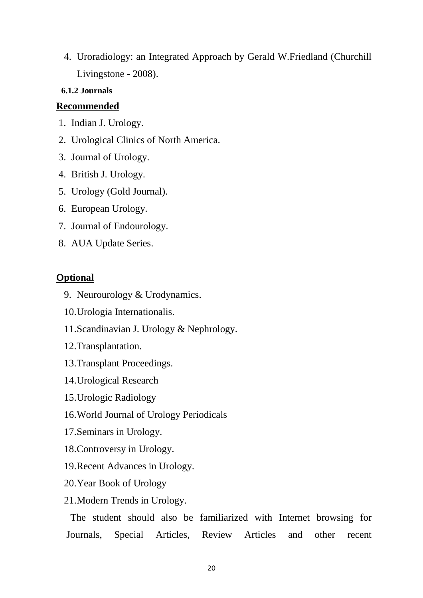4. Uroradiology: an Integrated Approach by Gerald W.Friedland (Churchill Livingstone - 2008).

## <span id="page-20-0"></span>**6.1.2 Journals**

# **Recommended**

- 1. Indian J. Urology.
- 2. Urological Clinics of North America.
- 3. Journal of Urology.
- 4. British J. Urology.
- 5. Urology (Gold Journal).
- 6. European Urology.
- 7. Journal of Endourology.
- 8. AUA Update Series.

# **Optional**

- 9. Neurourology & Urodynamics.
- 10.Urologia Internationalis.
- 11.Scandinavian J. Urology & Nephrology.
- 12.Transplantation.
- 13.Transplant Proceedings.
- 14.Urological Research
- 15.Urologic Radiology
- 16.World Journal of Urology Periodicals
- 17.Seminars in Urology.
- 18.Controversy in Urology.
- 19.Recent Advances in Urology.
- 20.Year Book of Urology
- 21.Modern Trends in Urology.

The student should also be familiarized with Internet browsing for Journals, Special Articles, Review Articles and other recent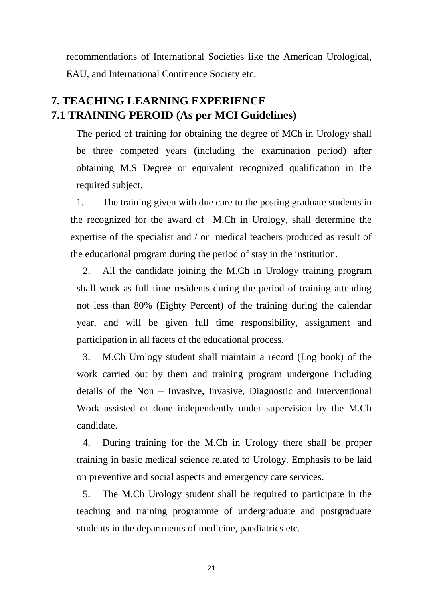recommendations of International Societies like the American Urological, EAU, and International Continence Society etc.

# <span id="page-21-1"></span><span id="page-21-0"></span>**7. TEACHING LEARNING EXPERIENCE 7.1 TRAINING PEROID (As per MCI Guidelines)**

The period of training for obtaining the degree of MCh in Urology shall be three competed years (including the examination period) after obtaining M.S Degree or equivalent recognized qualification in the required subject.

1. The training given with due care to the posting graduate students in the recognized for the award of M.Ch in Urology, shall determine the expertise of the specialist and / or medical teachers produced as result of the educational program during the period of stay in the institution.

2. All the candidate joining the M.Ch in Urology training program shall work as full time residents during the period of training attending not less than 80% (Eighty Percent) of the training during the calendar year, and will be given full time responsibility, assignment and participation in all facets of the educational process.

3. M.Ch Urology student shall maintain a record (Log book) of the work carried out by them and training program undergone including details of the Non – Invasive, Invasive, Diagnostic and Interventional Work assisted or done independently under supervision by the M.Ch candidate.

4. During training for the M.Ch in Urology there shall be proper training in basic medical science related to Urology. Emphasis to be laid on preventive and social aspects and emergency care services.

5. The M.Ch Urology student shall be required to participate in the teaching and training programme of undergraduate and postgraduate students in the departments of medicine, paediatrics etc.

21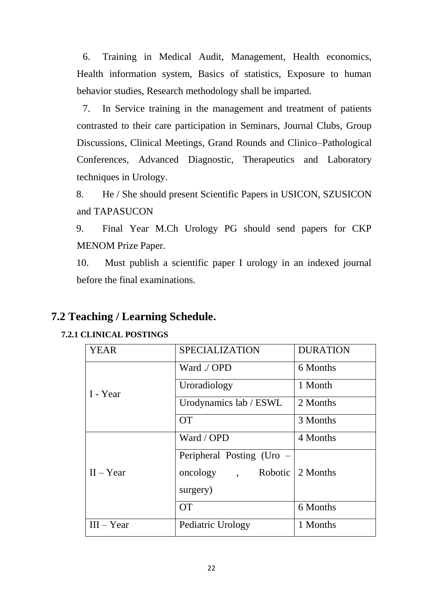6. Training in Medical Audit, Management, Health economics, Health information system, Basics of statistics, Exposure to human behavior studies, Research methodology shall be imparted.

7. In Service training in the management and treatment of patients contrasted to their care participation in Seminars, Journal Clubs, Group Discussions, Clinical Meetings, Grand Rounds and Clinico–Pathological Conferences, Advanced Diagnostic, Therapeutics and Laboratory techniques in Urology.

8. He / She should present Scientific Papers in USICON, SZUSICON and TAPASUCON

9. Final Year M.Ch Urology PG should send papers for CKP MENOM Prize Paper.

10. Must publish a scientific paper I urology in an indexed journal before the final examinations.

# <span id="page-22-0"></span>**7.2 Teaching / Learning Schedule.**

# <span id="page-22-1"></span>**7.2.1 CLINICAL POSTINGS**

| <b>YEAR</b>  | <b>SPECIALIZATION</b>               | <b>DURATION</b> |
|--------------|-------------------------------------|-----------------|
|              | Ward ./ OPD                         | 6 Months        |
| I - Year     | Uroradiology                        | 1 Month         |
|              | Urodynamics lab / ESWL              | 2 Months        |
|              | <b>OT</b>                           | 3 Months        |
|              | Ward / OPD                          | 4 Months        |
|              | Peripheral Posting (Uro –           |                 |
| $II - Year$  | oncology , Robotic $\vert 2$ Months |                 |
|              | surgery)                            |                 |
|              | <b>OT</b>                           | 6 Months        |
| $III - Year$ | Pediatric Urology                   | 1 Months        |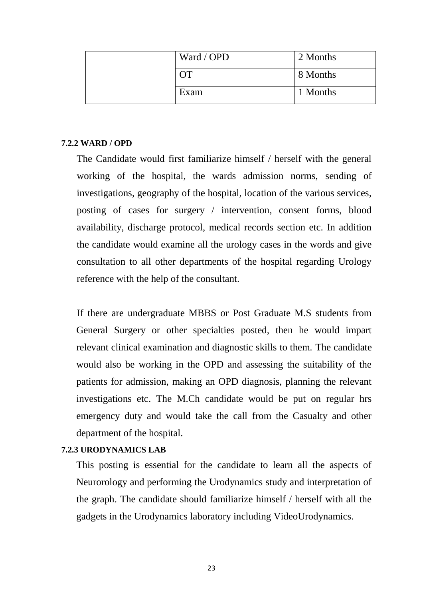| Ward / OPD | 2 Months |
|------------|----------|
|            | 8 Months |
| Exam       | 1 Months |

#### <span id="page-23-0"></span>**7.2.2 WARD / OPD**

The Candidate would first familiarize himself / herself with the general working of the hospital, the wards admission norms, sending of investigations, geography of the hospital, location of the various services, posting of cases for surgery / intervention, consent forms, blood availability, discharge protocol, medical records section etc. In addition the candidate would examine all the urology cases in the words and give consultation to all other departments of the hospital regarding Urology reference with the help of the consultant.

If there are undergraduate MBBS or Post Graduate M.S students from General Surgery or other specialties posted, then he would impart relevant clinical examination and diagnostic skills to them. The candidate would also be working in the OPD and assessing the suitability of the patients for admission, making an OPD diagnosis, planning the relevant investigations etc. The M.Ch candidate would be put on regular hrs emergency duty and would take the call from the Casualty and other department of the hospital.

#### <span id="page-23-1"></span>**7.2.3 URODYNAMICS LAB**

This posting is essential for the candidate to learn all the aspects of Neurorology and performing the Urodynamics study and interpretation of the graph. The candidate should familiarize himself / herself with all the gadgets in the Urodynamics laboratory including VideoUrodynamics.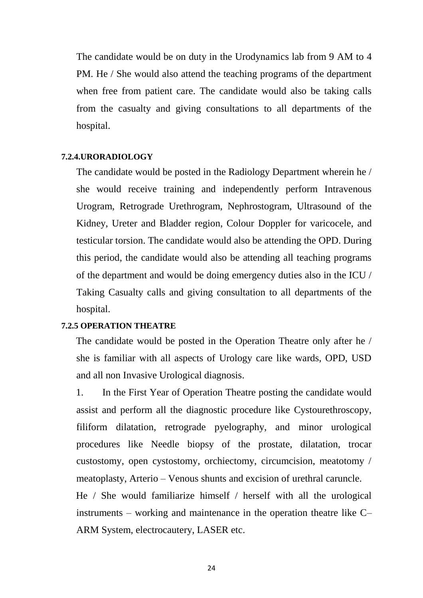The candidate would be on duty in the Urodynamics lab from 9 AM to 4 PM. He / She would also attend the teaching programs of the department when free from patient care. The candidate would also be taking calls from the casualty and giving consultations to all departments of the hospital.

#### <span id="page-24-0"></span>**7.2.4.URORADIOLOGY**

The candidate would be posted in the Radiology Department wherein he / she would receive training and independently perform Intravenous Urogram, Retrograde Urethrogram, Nephrostogram, Ultrasound of the Kidney, Ureter and Bladder region, Colour Doppler for varicocele, and testicular torsion. The candidate would also be attending the OPD. During this period, the candidate would also be attending all teaching programs of the department and would be doing emergency duties also in the ICU / Taking Casualty calls and giving consultation to all departments of the hospital.

#### <span id="page-24-1"></span>**7.2.5 OPERATION THEATRE**

The candidate would be posted in the Operation Theatre only after he / she is familiar with all aspects of Urology care like wards, OPD, USD and all non Invasive Urological diagnosis.

1. In the First Year of Operation Theatre posting the candidate would assist and perform all the diagnostic procedure like Cystourethroscopy, filiform dilatation, retrograde pyelography, and minor urological procedures like Needle biopsy of the prostate, dilatation, trocar custostomy, open cystostomy, orchiectomy, circumcision, meatotomy / meatoplasty, Arterio – Venous shunts and excision of urethral caruncle. He / She would familiarize himself / herself with all the urological instruments – working and maintenance in the operation theatre like C– ARM System, electrocautery, LASER etc.

24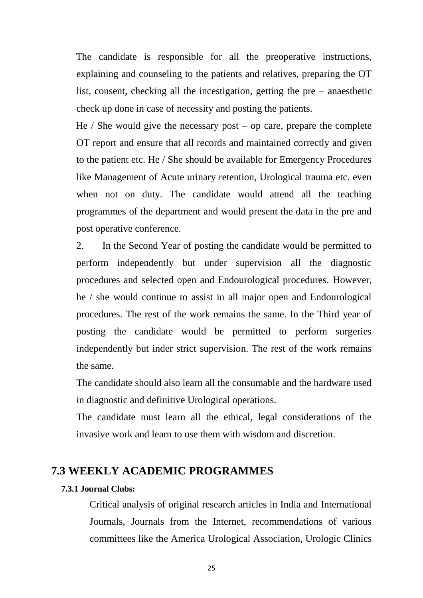The candidate is responsible for all the preoperative instructions, explaining and counseling to the patients and relatives, preparing the OT list, consent, checking all the incestigation, getting the pre – anaesthetic check up done in case of necessity and posting the patients.

He  $\ell$  She would give the necessary post – op care, prepare the complete OT report and ensure that all records and maintained correctly and given to the patient etc. He / She should be available for Emergency Procedures like Management of Acute urinary retention, Urological trauma etc. even when not on duty. The candidate would attend all the teaching programmes of the department and would present the data in the pre and post operative conference.

2. In the Second Year of posting the candidate would be permitted to perform independently but under supervision all the diagnostic procedures and selected open and Endourological procedures. However, he / she would continue to assist in all major open and Endourological procedures. The rest of the work remains the same. In the Third year of posting the candidate would be permitted to perform surgeries independently but inder strict supervision. The rest of the work remains the same.

The candidate should also learn all the consumable and the hardware used in diagnostic and definitive Urological operations.

The candidate must learn all the ethical, legal considerations of the invasive work and learn to use them with wisdom and discretion.

# <span id="page-25-0"></span>**7.3 WEEKLY ACADEMIC PROGRAMMES**

#### <span id="page-25-1"></span>**7.3.1 Journal Clubs:**

Critical analysis of original research articles in India and International Journals, Journals from the Internet, recommendations of various committees like the America Urological Association, Urologic Clinics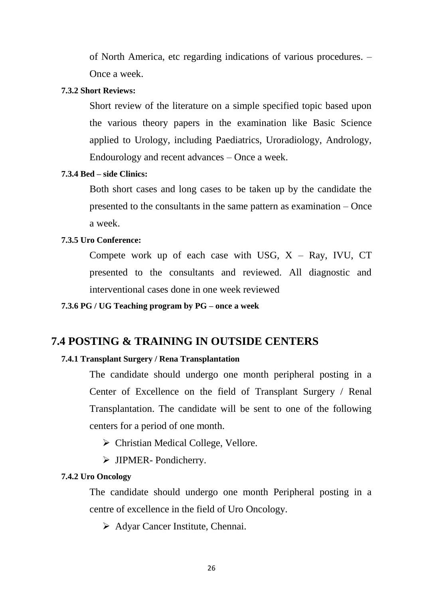of North America, etc regarding indications of various procedures. – Once a week.

#### <span id="page-26-0"></span>**7.3.2 Short Reviews:**

Short review of the literature on a simple specified topic based upon the various theory papers in the examination like Basic Science applied to Urology, including Paediatrics, Uroradiology, Andrology, Endourology and recent advances – Once a week.

#### <span id="page-26-1"></span>**7.3.4 Bed – side Clinics:**

Both short cases and long cases to be taken up by the candidate the presented to the consultants in the same pattern as examination – Once a week.

#### <span id="page-26-2"></span>**7.3.5 Uro Conference:**

Compete work up of each case with USG,  $X - Ray$ , IVU, CT presented to the consultants and reviewed. All diagnostic and interventional cases done in one week reviewed

<span id="page-26-3"></span>**7.3.6 PG / UG Teaching program by PG – once a week**

## <span id="page-26-4"></span>**7.4 POSTING & TRAINING IN OUTSIDE CENTERS**

#### <span id="page-26-5"></span>**7.4.1 Transplant Surgery / Rena Transplantation**

The candidate should undergo one month peripheral posting in a Center of Excellence on the field of Transplant Surgery / Renal Transplantation. The candidate will be sent to one of the following centers for a period of one month.

 $\triangleright$  Christian Medical College, Vellore.

> JIPMER- Pondicherry.

#### <span id="page-26-6"></span>**7.4.2 Uro Oncology**

The candidate should undergo one month Peripheral posting in a centre of excellence in the field of Uro Oncology.

 $\triangleright$  Adyar Cancer Institute, Chennai.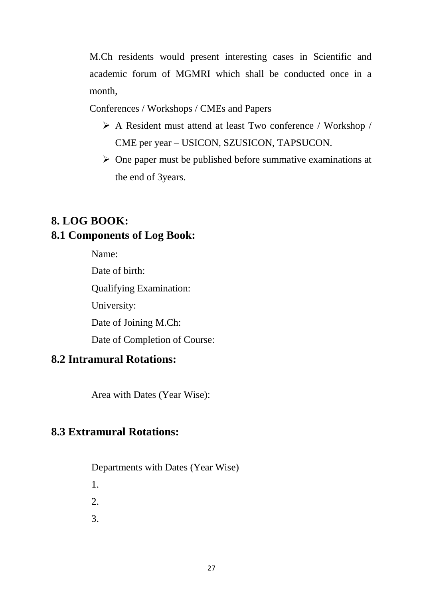M.Ch residents would present interesting cases in Scientific and academic forum of MGMRI which shall be conducted once in a month,

Conferences / Workshops / CMEs and Papers

- A Resident must attend at least Two conference / Workshop / CME per year – USICON, SZUSICON, TAPSUCON.
- $\triangleright$  One paper must be published before summative examinations at the end of 3years.

# <span id="page-27-1"></span><span id="page-27-0"></span>**8. LOG BOOK: 8.1 Components of Log Book:**

Name: Date of birth: Qualifying Examination: University: Date of Joining M.Ch: Date of Completion of Course:

# <span id="page-27-2"></span>**8.2 Intramural Rotations:**

Area with Dates (Year Wise):

# <span id="page-27-3"></span>**8.3 Extramural Rotations:**

Departments with Dates (Year Wise)

- 1.
- $2<sub>1</sub>$
- 3.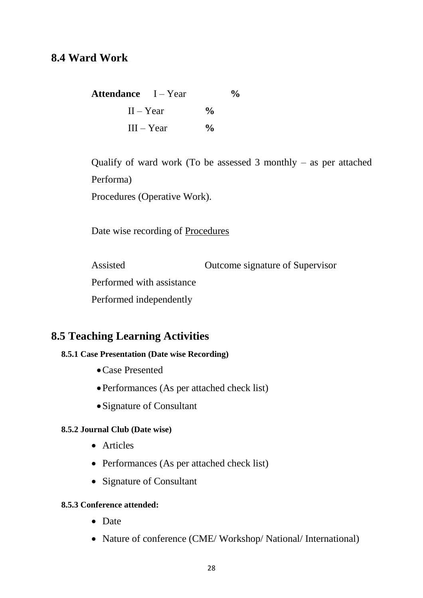# <span id="page-28-0"></span>**8.4 Ward Work**

| <b>Attendance</b> I – Year |               | $\frac{6}{10}$ |
|----------------------------|---------------|----------------|
| $II - Year$                | $\frac{0}{0}$ |                |
| $III - Year$               | $\frac{0}{0}$ |                |

Qualify of ward work (To be assessed 3 monthly – as per attached Performa)

Procedures (Operative Work).

Date wise recording of Procedures

Assisted Outcome signature of Supervisor Performed with assistance Performed independently

# <span id="page-28-1"></span>**8.5 Teaching Learning Activities**

#### <span id="page-28-2"></span>**8.5.1 Case Presentation (Date wise Recording)**

- Case Presented
- Performances (As per attached check list)
- Signature of Consultant

#### <span id="page-28-3"></span>**8.5.2 Journal Club (Date wise)**

- Articles
- Performances (As per attached check list)
- Signature of Consultant

#### <span id="page-28-4"></span>**8.5.3 Conference attended:**

- Date
- Nature of conference (CME/Workshop/National/International)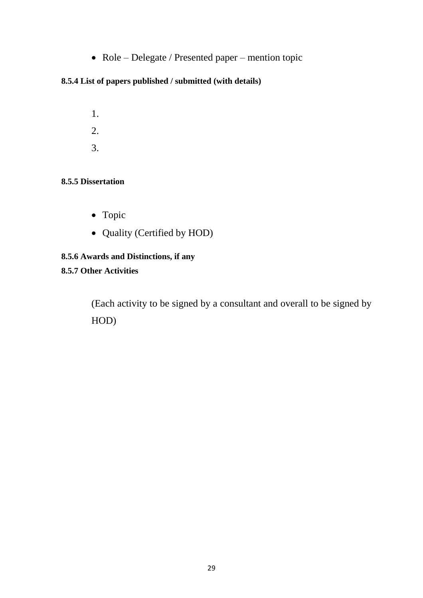• Role – Delegate / Presented paper – mention topic

## <span id="page-29-0"></span>**8.5.4 List of papers published / submitted (with details)**

1. 2. 3.

#### <span id="page-29-1"></span>**8.5.5 Dissertation**

- Topic
- Quality (Certified by HOD)

## <span id="page-29-2"></span>**8.5.6 Awards and Distinctions, if any**

## <span id="page-29-3"></span>**8.5.7 Other Activities**

(Each activity to be signed by a consultant and overall to be signed by HOD)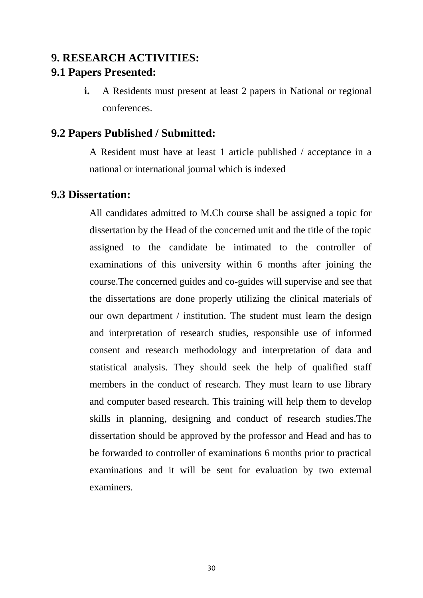# <span id="page-30-1"></span><span id="page-30-0"></span>**9. RESEARCH ACTIVITIES: 9.1 Papers Presented:**

**i.** A Residents must present at least 2 papers in National or regional conferences.

# <span id="page-30-2"></span>**9.2 Papers Published / Submitted:**

A Resident must have at least 1 article published / acceptance in a national or international journal which is indexed

# <span id="page-30-3"></span>**9.3 Dissertation:**

All candidates admitted to M.Ch course shall be assigned a topic for dissertation by the Head of the concerned unit and the title of the topic assigned to the candidate be intimated to the controller of examinations of this university within 6 months after joining the course.The concerned guides and co-guides will supervise and see that the dissertations are done properly utilizing the clinical materials of our own department / institution. The student must learn the design and interpretation of research studies, responsible use of informed consent and research methodology and interpretation of data and statistical analysis. They should seek the help of qualified staff members in the conduct of research. They must learn to use library and computer based research. This training will help them to develop skills in planning, designing and conduct of research studies.The dissertation should be approved by the professor and Head and has to be forwarded to controller of examinations 6 months prior to practical examinations and it will be sent for evaluation by two external examiners.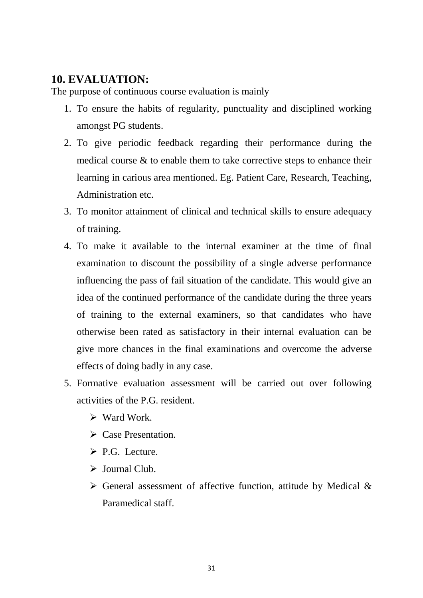# <span id="page-31-0"></span>**10. EVALUATION:**

The purpose of continuous course evaluation is mainly

- 1. To ensure the habits of regularity, punctuality and disciplined working amongst PG students.
- 2. To give periodic feedback regarding their performance during the medical course & to enable them to take corrective steps to enhance their learning in carious area mentioned. Eg. Patient Care, Research, Teaching, Administration etc.
- 3. To monitor attainment of clinical and technical skills to ensure adequacy of training.
- 4. To make it available to the internal examiner at the time of final examination to discount the possibility of a single adverse performance influencing the pass of fail situation of the candidate. This would give an idea of the continued performance of the candidate during the three years of training to the external examiners, so that candidates who have otherwise been rated as satisfactory in their internal evaluation can be give more chances in the final examinations and overcome the adverse effects of doing badly in any case.
- 5. Formative evaluation assessment will be carried out over following activities of the P.G. resident.
	- $\triangleright$  Ward Work.
	- **►** Case Presentation.
	- $\triangleright$  P.G. Lecture.
	- $\triangleright$  Journal Club.
	- $\triangleright$  General assessment of affective function, attitude by Medical & Paramedical staff.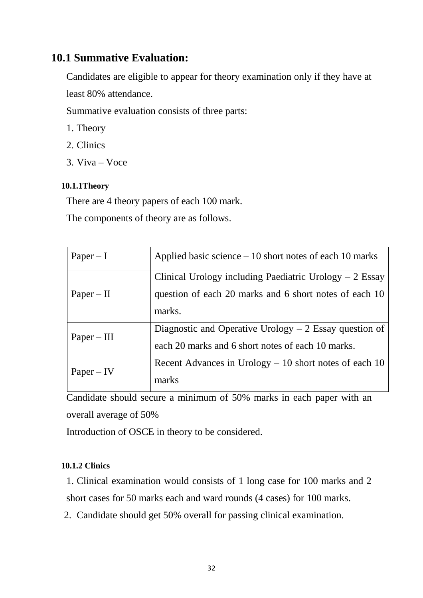# <span id="page-32-0"></span>**10.1 Summative Evaluation:**

Candidates are eligible to appear for theory examination only if they have at least 80% attendance.

Summative evaluation consists of three parts:

- 1. Theory
- 2. Clinics
- 3. Viva Voce

#### <span id="page-32-1"></span>**10.1.1Theory**

There are 4 theory papers of each 100 mark.

The components of theory are as follows.

| $Paper - I$   | Applied basic science $-10$ short notes of each 10 marks                                                     |
|---------------|--------------------------------------------------------------------------------------------------------------|
|               | Clinical Urology including Paediatric Urology $-2$ Essay                                                     |
| $Paper - II$  | question of each 20 marks and 6 short notes of each 10<br>marks.                                             |
| $Paper - III$ | Diagnostic and Operative Urology $-2$ Essay question of<br>each 20 marks and 6 short notes of each 10 marks. |
| $Paper - IV$  | Recent Advances in Urology $-10$ short notes of each 10<br>marks                                             |

Candidate should secure a minimum of 50% marks in each paper with an overall average of 50%

Introduction of OSCE in theory to be considered.

#### <span id="page-32-2"></span>**10.1.2 Clinics**

1. Clinical examination would consists of 1 long case for 100 marks and 2 short cases for 50 marks each and ward rounds (4 cases) for 100 marks.

2. Candidate should get 50% overall for passing clinical examination.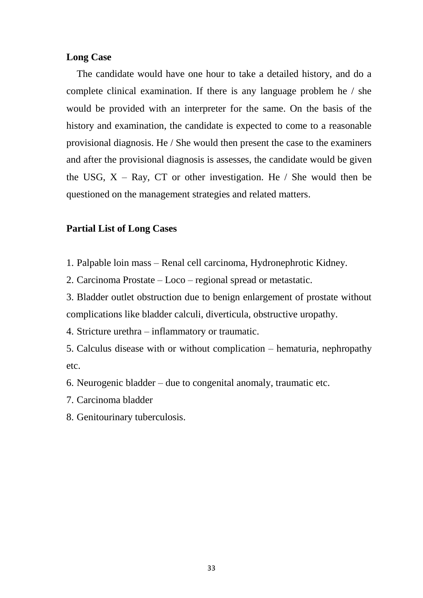#### **Long Case**

The candidate would have one hour to take a detailed history, and do a complete clinical examination. If there is any language problem he / she would be provided with an interpreter for the same. On the basis of the history and examination, the candidate is expected to come to a reasonable provisional diagnosis. He / She would then present the case to the examiners and after the provisional diagnosis is assesses, the candidate would be given the USG,  $X - Ray$ , CT or other investigation. He / She would then be questioned on the management strategies and related matters.

#### **Partial List of Long Cases**

- 1. Palpable loin mass Renal cell carcinoma, Hydronephrotic Kidney.
- 2. Carcinoma Prostate Loco regional spread or metastatic.

3. Bladder outlet obstruction due to benign enlargement of prostate without complications like bladder calculi, diverticula, obstructive uropathy.

4. Stricture urethra – inflammatory or traumatic.

5. Calculus disease with or without complication – hematuria, nephropathy etc.

6. Neurogenic bladder – due to congenital anomaly, traumatic etc.

- 7. Carcinoma bladder
- 8. Genitourinary tuberculosis.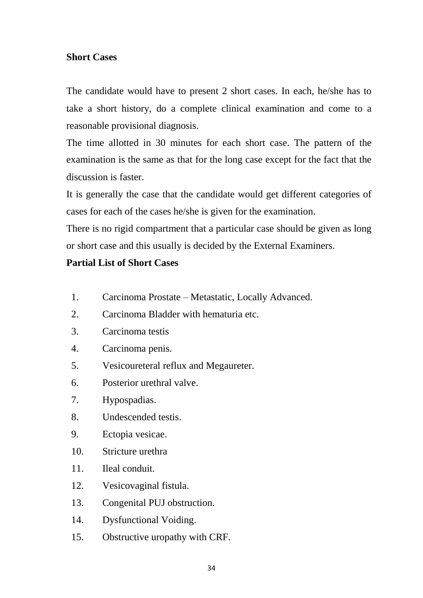# **Short Cases**

The candidate would have to present 2 short cases. In each, he/she has to take a short history, do a complete clinical examination and come to a reasonable provisional diagnosis.

The time allotted in 30 minutes for each short case. The pattern of the examination is the same as that for the long case except for the fact that the discussion is faster.

It is generally the case that the candidate would get different categories of cases for each of the cases he/she is given for the examination.

There is no rigid compartment that a particular case should be given as long or short case and this usually is decided by the External Examiners.

# **Partial List of Short Cases**

- 1. Carcinoma Prostate Metastatic, Locally Advanced.
- 2. Carcinoma Bladder with hematuria etc.
- 3. Carcinoma testis
- 4. Carcinoma penis.
- 5. Vesicoureteral reflux and Megaureter.
- 6. Posterior urethral valve.
- 7. Hypospadias.
- 8. Undescended testis.
- 9. Ectopia vesicae.
- 10. Stricture urethra
- 11. Ileal conduit.
- 12. Vesicovaginal fistula.
- 13. Congenital PUJ obstruction.
- 14. Dysfunctional Voiding.
- 15. Obstructive uropathy with CRF.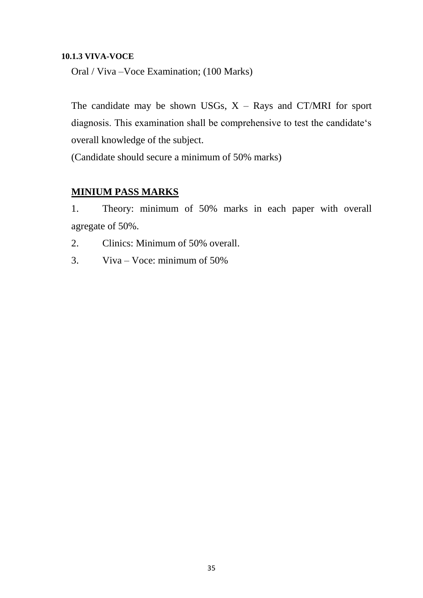#### <span id="page-35-0"></span>**10.1.3 VIVA-VOCE**

Oral / Viva –Voce Examination; (100 Marks)

The candidate may be shown USGs,  $X - Rays$  and CT/MRI for sport diagnosis. This examination shall be comprehensive to test the candidate"s overall knowledge of the subject.

(Candidate should secure a minimum of 50% marks)

# **MINIUM PASS MARKS**

1. Theory: minimum of 50% marks in each paper with overall agregate of 50%.

2. Clinics: Minimum of 50% overall.

3. Viva – Voce: minimum of 50%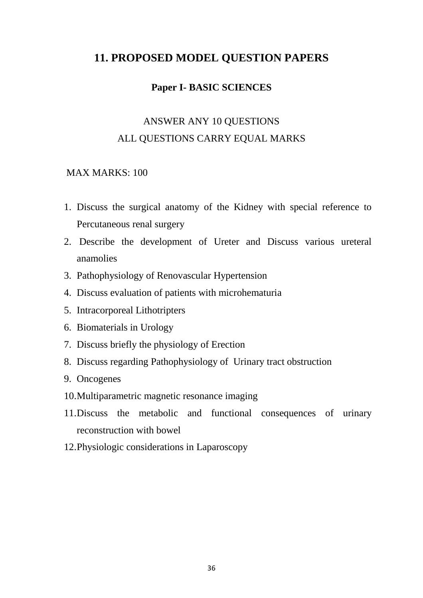# <span id="page-36-0"></span>**11. PROPOSED MODEL QUESTION PAPERS**

## **Paper I- BASIC SCIENCES**

# ANSWER ANY 10 QUESTIONS ALL QUESTIONS CARRY EQUAL MARKS

#### MAX MARKS: 100

- 1. Discuss the surgical anatomy of the Kidney with special reference to Percutaneous renal surgery
- 2. Describe the development of Ureter and Discuss various ureteral anamolies
- 3. Pathophysiology of Renovascular Hypertension
- 4. Discuss evaluation of patients with microhematuria
- 5. Intracorporeal Lithotripters
- 6. Biomaterials in Urology
- 7. Discuss briefly the physiology of Erection
- 8. Discuss regarding Pathophysiology of Urinary tract obstruction
- 9. Oncogenes
- 10.Multiparametric magnetic resonance imaging
- 11.Discuss the metabolic and functional consequences of urinary reconstruction with bowel
- 12.Physiologic considerations in Laparoscopy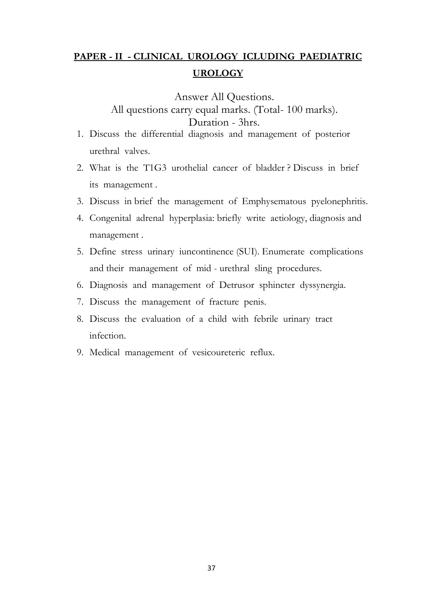# **PAPER - II - CLINICAL UROLOGY ICLUDING PAEDIATRIC UROLOGY**

Answer All Questions.

All questions carry equal marks. (Total- 100 marks).

## Duration - 3hrs.

- 1. Discuss the differential diagnosis and management of posterior urethral valves.
- 2. What is the T1G3 urothelial cancer of bladder ? Discuss in brief its management .
- 3. Discuss in brief the management of Emphysematous pyelonephritis.
- 4. Congenital adrenal hyperplasia: briefly write aetiology, diagnosis and management .
- 5. Define stress urinary iuncontinence (SUI). Enumerate complications and their management of mid - urethral sling procedures.
- 6. Diagnosis and management of Detrusor sphincter dyssynergia.
- 7. Discuss the management of fracture penis.
- 8. Discuss the evaluation of a child with febrile urinary tract infection.
- 9. Medical management of vesicoureteric reflux.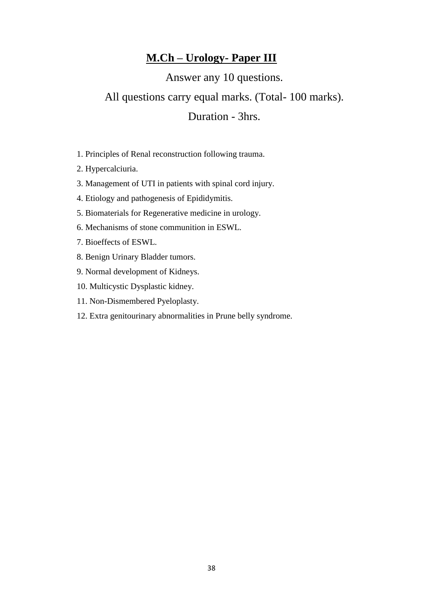# **M.Ch – Urology- Paper III**

Answer any 10 questions.

# All questions carry equal marks. (Total- 100 marks).

# Duration - 3hrs.

- 1. Principles of Renal reconstruction following trauma.
- 2. Hypercalciuria.
- 3. Management of UTI in patients with spinal cord injury.
- 4. Etiology and pathogenesis of Epididymitis.
- 5. Biomaterials for Regenerative medicine in urology.
- 6. Mechanisms of stone communition in ESWL.
- 7. Bioeffects of ESWL.
- 8. Benign Urinary Bladder tumors.
- 9. Normal development of Kidneys.
- 10. Multicystic Dysplastic kidney.
- 11. Non-Dismembered Pyeloplasty.
- 12. Extra genitourinary abnormalities in Prune belly syndrome.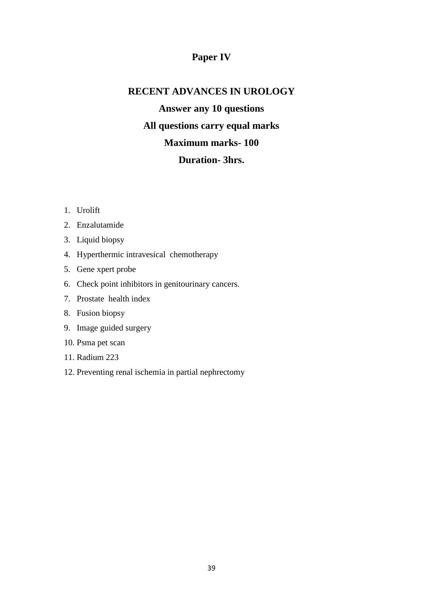## **Paper IV**

# **RECENT ADVANCES IN UROLOGY**

**Answer any 10 questions All questions carry equal marks Maximum marks- 100 Duration- 3hrs.**

- 1. Urolift
- 2. Enzalutamide
- 3. Liquid biopsy
- 4. Hyperthermic intravesical chemotherapy
- 5. Gene xpert probe
- 6. Check point inhibitors in genitourinary cancers.
- 7. Prostate health index
- 8. Fusion biopsy
- 9. Image guided surgery
- 10. Psma pet scan
- 11. Radium 223
- 12. Preventing renal ischemia in partial nephrectomy